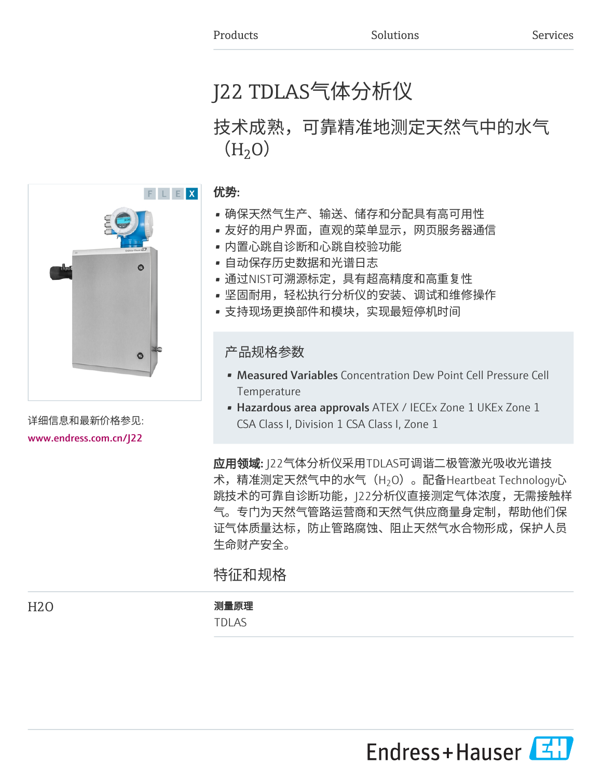# J22 TDLAS气体分析仪

# 技术成熟,可靠精准地测定天然气中的水气  $(H<sub>2</sub>O)$



- 确保天然气生产、输送、储存和分配具有高可用性
- 友好的用户界面,直观的菜单显示,网页服务器通信
- 内置心跳自诊断和心跳自校验功能
- 自动保存历史数据和光谱日志
- 通过NIST可溯源标定,具有超高精度和高重复性
- 坚固耐用,轻松执行分析仪的安装、调试和维修操作
- 支持现场更换部件和模块,实现最短停机时间

产品规格参数

- Measured Variables Concentration Dew Point Cell Pressure Cell **Temperature**
- Hazardous area approvals ATEX / IECEx Zone 1 UKEx Zone 1 CSA Class I, Division 1 CSA Class I, Zone 1

应用领域: J22气体分析仪采用TDLAS可调谐二极管激光吸收光谱技 术,精准测定天然气中的水气(H $_2$ O)。配备Heartbeat Technology心 跳技术的可靠自诊断功能,J22分析仪直接测定气体浓度,无需接触样 气。专门为天然气管路运营商和天然气供应商量身定制,帮助他们保 证气体质量达标,防止管路腐蚀、阻止天然气水合物形成,保护人员 生命财产安全。

特征和规格

# H2O 测量原理

TDLAS



详细信息和最新价格参见: [www.endress.com.cn/J22](https://www.endress.com.cn/J22)

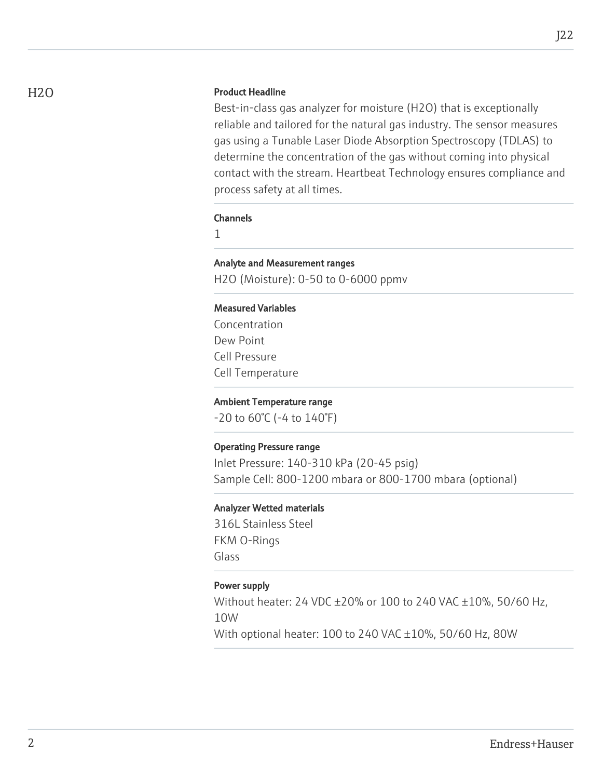## H<sub>2</sub>O Product Headline

Best-in-class gas analyzer for moisture (H2O) that is exceptionally reliable and tailored for the natural gas industry. The sensor measures gas using a Tunable Laser Diode Absorption Spectroscopy (TDLAS) to determine the concentration of the gas without coming into physical contact with the stream. Heartbeat Technology ensures compliance and process safety at all times.

#### Channels

1

# Analyte and Measurement ranges

H2O (Moisture): 0-50 to 0-6000 ppmv

#### Measured Variables

Concentration Dew Point Cell Pressure Cell Temperature

#### Ambient Temperature range

-20 to 60°C (-4 to 140°F)

#### Operating Pressure range

Inlet Pressure: 140-310 kPa (20-45 psig) Sample Cell: 800-1200 mbara or 800-1700 mbara (optional)

#### Analyzer Wetted materials

316L Stainless Steel FKM O-Rings Glass

# Power supply

Without heater: 24 VDC ±20% or 100 to 240 VAC ±10%, 50/60 Hz, 10W With optional heater: 100 to 240 VAC ±10%, 50/60 Hz, 80W